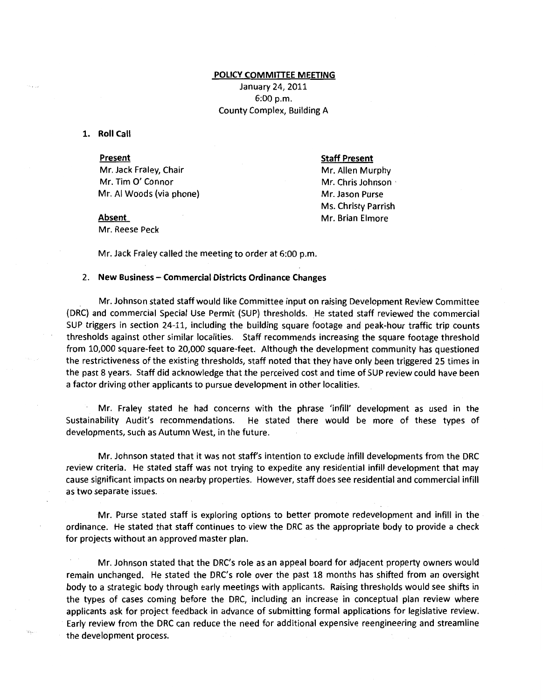### POLICY COMMITIEE MEETING

January 24, 2011 6:00 p.m. County Complex, Building A

1. Roll Call

### Present

Mr. Jack Fraley, Chair Mr. Tim *0'* Connor Mr. AI Woods (via phone)

#### Staff Present

Mr. Allen Murphy Mr. Chris Johnson · Mr. Jason Purse Ms. Christy Parrish Mr. Brian Elmore

# Absent

Mr. Reese Peck

Mr. Jack Fraley called the meeting to order at 6:00 p.m.

## 2. New Business- Commercial Districts Ordinance Changes

Mr. Johnson stated staff would like Committee input on raising Development Review Committee (DRC) and commercial Special Use Permit (SUP) thresholds. He stated staff reviewed the commercial SUP triggers in section 24-11, including the building square footage and peak-hour traffic trip counts thresholds against other similar localities. Staff recommends increasing the square footage threshold from 10,000 square-feet to *20,000* square-feet. Although the development community has questioned the restrictiveness of the existing thresholds, staff noted that they have only been triggered 25 times in the past 8 years. Staff did acknowledge that the perceived cost and time of SUP review could have been a factor driving other applicants to pursue development in other localities.

Mr. Fraley stated he had concerns with the phrase 'infill' development as used in the Sustainability Audit's recommendations. He stated there would be more of these types of developments, such as Autumn West, in the future.

Mr. Johnson stated that it was not staff's intention to exclude infill developments from the DRC review criteria. He stated staff was not trying to expedite any residential infill development that may cause significant impacts on nearby properties. However, staff does see residential and commercial infill as 'two separate issues.

Mr. Purse stated staff is exploring options to better promote redevelopment and infill in the ordinance. He stated that staff continues to view the DRC as the appropriate body to provide a check for projects without an approved master plan.

Mr. Johnson stated that the DRC's role as an appeal board for adjacent property owners would remain unchanged. He stated the DRC's role over the past 18 months has shifted from an oversight body to a strategic body through early meetings with applicants. Raising thresholds would see shifts in the types of cases coming before the DRC, including an increase in conceptual plan review where applicants ask for project feedback in advance of submitting formal applications for legislative review. Early review from the DRC can reduce the need for additional expensive reengineering and streamline the development process.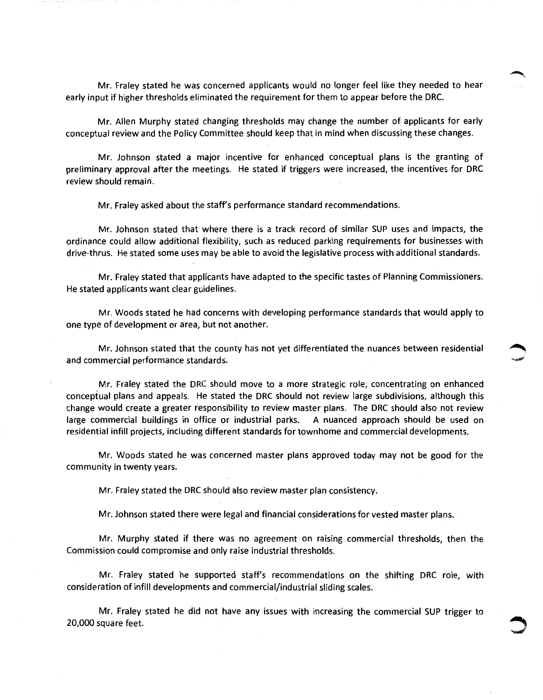Mr. Fraley stated he was concerned applicants would no longer feel like they needed to hear early input if higher thresholds eliminated the requirement for them to appear before the DRC.

Mr. Allen Murphy stated changing thresholds may change the number of applicants for early conceptual review and the Policy Committee should keep that in mind when discussing these changes.

Mr. Johnson stated a major incentive for enhanced conceptual plans is the granting of preliminary approval after the meetings. He stated if triggers were increased, the incentives for DRC review should remain.

Mr. Fraley asked about the staff's performance standard recommendations.

Mr. Johnson stated that where there is a track record of similar SUP uses and impacts, the ordinance could allow additional flexibility, such as reduced parking requirements for businesses with drive-thrus. He stated some uses may be able to avoid the legislative process with additional standards.

Mr. Fraley stated that applicants have adapted to the specific tastes of Planning Commissioners. He stated applicants want clear guidelines.

Mr. Woods stated he had concerns with developing performance standards that would apply to one type of development or area, but not another.

Mr. Johnson stated that the county has not yet differentiated the nuances between residential and commercial performance standards.

Mr. Fraley stated the DRC should move to a more strategic role, concentrating on enhanced conceptual plans and appeals. He stated the DRC should not review large subdivisions, although this change would create a greater responsibility to review master plans. The DRC should also not review large commercial buildings in office or industrial parks. A nuanced approach should be used on residential infill projects, including different standards for town home and commercial developments.

Mr. Woods stated he was concerned master plans approved today may not be good for the community in twenty years.

Mr. Fraley stated the DRC should also review master plan consistency.

Mr. Johnson stated there were legal and financial considerations for vested master plans.

Mr. Murphy stated if there was no agreement on raising commercial thresholds, then the Commission could compromise and only raise industrial thresholds.

Mr. Fraley stated he supported staff's recommendations on the shifting DRC role, with consideration of infill developments and commercial/industrial sliding scales.

Mr. Fraley stated he did not have any issues with increasing the commercial SUP trigger to 20,000 square feet.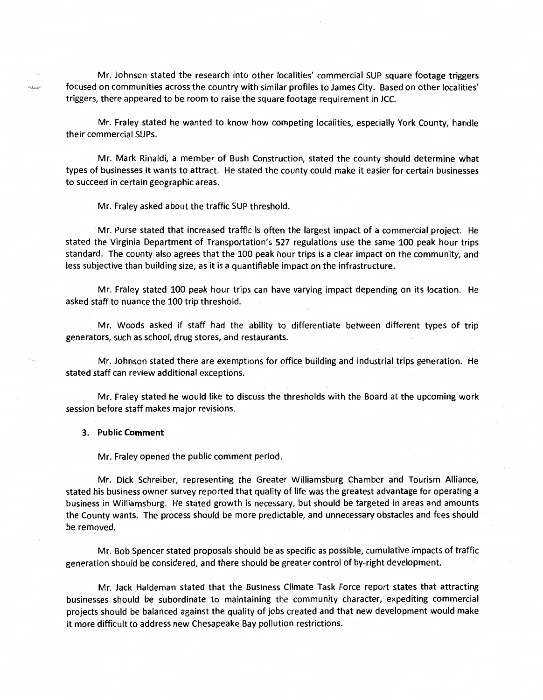Mr. Johnson stated the research into other localities' commercial SUP square footage triggers focused on communities across the country with similar profiles to James City. Based on other localities' triggers, there appeared to be room to raise the square footage requirement in JCC.

Mr. Fraley stated he wanted to know how competing localities, especially York County, handle their commercial SUPs.

Mr. Mark Rinaldi, a member of Bush Construction, stated the county should determine what types of businesses it wants to attract. He stated the county could make it easier for certain businesses to succeed in certain geographic areas.

Mr. Fraley asked about the traffic SUP threshold.

Mr. Purse stated that increased traffic is often the largest impact of a commercial project. He stated the Virginia Department of Transportation's 527 regulations use the same 100 peak hour trips standard. The county also agrees that the 100 peak hour trips is a clear impact on the community, and less subjective than building size, as it is a quantifiable impact on the infrastructure.

Mr. Fraley stated 100 peak hour trips can have varying impact depending on its location. He asked staff to nuance the 100 trip threshold.

Mr. Woods asked if staff had the ability to differentiate between different types of trip generators, such as school; drug stores, and restaurants.

Mr. Johnson stated there are exemptions for office building and industrial trips generation. He stated staff can review additional exceptions.

Mr. Fraley stated he would like to discuss the thresholds with the Board at the upcoming work session before staff makes major revisions.

### **3. Public Comment**

Mr. Fraley opened the public comment period.

Mr. Dick Schreiber, representing the Greater Williamsburg Chamber and Tourism Alliance, stated his business owner survey reported that quality of life was the greatest advantage for operating a business in Williamsburg. He stated growth is necessary, but should be targeted in areas and amounts the County wants. The process should be more predictable, and unnecessary obstacles and fees should be removed.

Mr. Bob Spencer stated proposals should be as specific as possible, cumulative impacts of traffic generation should be considered, and there should be greater control of by-right development.

Mr. Jack Haldeman stated that the Business Climate Task Force report states that attracting businesses should be subordinate to maintaining the community character, expediting commercial projects should be balanced against the quality of jobs created and that new development would make it more difficult to address new Chesapeake Bay pollution restrictions.